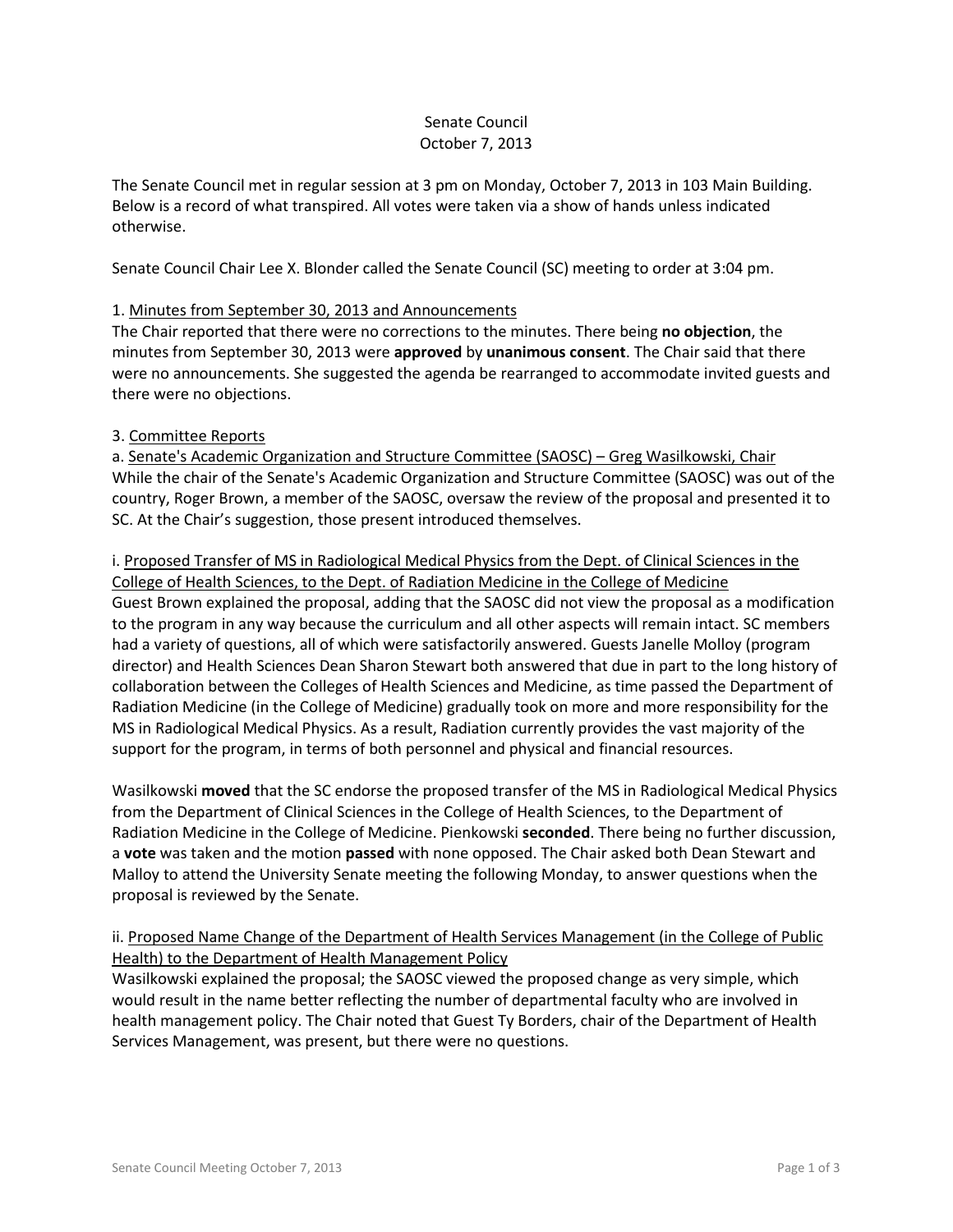### Senate Council October 7, 2013

The Senate Council met in regular session at 3 pm on Monday, October 7, 2013 in 103 Main Building. Below is a record of what transpired. All votes were taken via a show of hands unless indicated otherwise.

Senate Council Chair Lee X. Blonder called the Senate Council (SC) meeting to order at 3:04 pm.

### 1. Minutes from September 30, 2013 and Announcements

The Chair reported that there were no corrections to the minutes. There being **no objection**, the minutes from September 30, 2013 were **approved** by **unanimous consent**. The Chair said that there were no announcements. She suggested the agenda be rearranged to accommodate invited guests and there were no objections.

# 3. Committee Reports

a. Senate's Academic Organization and Structure Committee (SAOSC) – Greg Wasilkowski, Chair While the chair of the Senate's Academic Organization and Structure Committee (SAOSC) was out of the country, Roger Brown, a member of the SAOSC, oversaw the review of the proposal and presented it to SC. At the Chair's suggestion, those present introduced themselves.

i. Proposed Transfer of MS in Radiological Medical Physics from the Dept. of Clinical Sciences in the College of Health Sciences, to the Dept. of Radiation Medicine in the College of Medicine Guest Brown explained the proposal, adding that the SAOSC did not view the proposal as a modification to the program in any way because the curriculum and all other aspects will remain intact. SC members had a variety of questions, all of which were satisfactorily answered. Guests Janelle Molloy (program director) and Health Sciences Dean Sharon Stewart both answered that due in part to the long history of collaboration between the Colleges of Health Sciences and Medicine, as time passed the Department of Radiation Medicine (in the College of Medicine) gradually took on more and more responsibility for the MS in Radiological Medical Physics. As a result, Radiation currently provides the vast majority of the support for the program, in terms of both personnel and physical and financial resources.

Wasilkowski **moved** that the SC endorse the proposed transfer of the MS in Radiological Medical Physics from the Department of Clinical Sciences in the College of Health Sciences, to the Department of Radiation Medicine in the College of Medicine. Pienkowski **seconded**. There being no further discussion, a **vote** was taken and the motion **passed** with none opposed. The Chair asked both Dean Stewart and Malloy to attend the University Senate meeting the following Monday, to answer questions when the proposal is reviewed by the Senate.

# ii. Proposed Name Change of the Department of Health Services Management (in the College of Public Health) to the Department of Health Management Policy

Wasilkowski explained the proposal; the SAOSC viewed the proposed change as very simple, which would result in the name better reflecting the number of departmental faculty who are involved in health management policy. The Chair noted that Guest Ty Borders, chair of the Department of Health Services Management, was present, but there were no questions.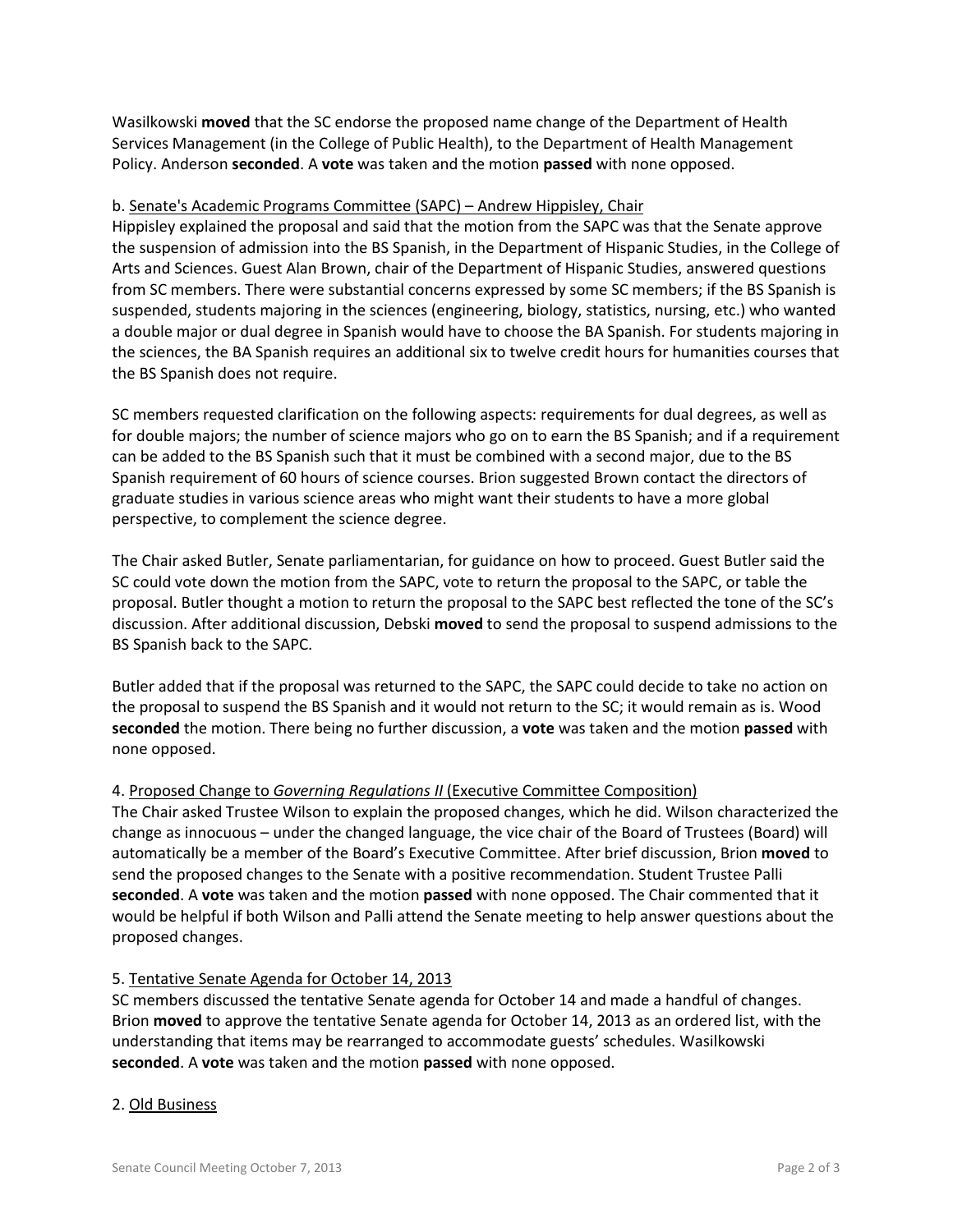Wasilkowski **moved** that the SC endorse the proposed name change of the Department of Health Services Management (in the College of Public Health), to the Department of Health Management Policy. Anderson **seconded**. A **vote** was taken and the motion **passed** with none opposed.

### b. Senate's Academic Programs Committee (SAPC) – Andrew Hippisley, Chair

Hippisley explained the proposal and said that the motion from the SAPC was that the Senate approve the suspension of admission into the BS Spanish, in the Department of Hispanic Studies, in the College of Arts and Sciences. Guest Alan Brown, chair of the Department of Hispanic Studies, answered questions from SC members. There were substantial concerns expressed by some SC members; if the BS Spanish is suspended, students majoring in the sciences (engineering, biology, statistics, nursing, etc.) who wanted a double major or dual degree in Spanish would have to choose the BA Spanish. For students majoring in the sciences, the BA Spanish requires an additional six to twelve credit hours for humanities courses that the BS Spanish does not require.

SC members requested clarification on the following aspects: requirements for dual degrees, as well as for double majors; the number of science majors who go on to earn the BS Spanish; and if a requirement can be added to the BS Spanish such that it must be combined with a second major, due to the BS Spanish requirement of 60 hours of science courses. Brion suggested Brown contact the directors of graduate studies in various science areas who might want their students to have a more global perspective, to complement the science degree.

The Chair asked Butler, Senate parliamentarian, for guidance on how to proceed. Guest Butler said the SC could vote down the motion from the SAPC, vote to return the proposal to the SAPC, or table the proposal. Butler thought a motion to return the proposal to the SAPC best reflected the tone of the SC's discussion. After additional discussion, Debski **moved** to send the proposal to suspend admissions to the BS Spanish back to the SAPC.

Butler added that if the proposal was returned to the SAPC, the SAPC could decide to take no action on the proposal to suspend the BS Spanish and it would not return to the SC; it would remain as is. Wood **seconded** the motion. There being no further discussion, a **vote** was taken and the motion **passed** with none opposed.

### 4. Proposed Change to *Governing Regulations II* (Executive Committee Composition)

The Chair asked Trustee Wilson to explain the proposed changes, which he did. Wilson characterized the change as innocuous – under the changed language, the vice chair of the Board of Trustees (Board) will automatically be a member of the Board's Executive Committee. After brief discussion, Brion **moved** to send the proposed changes to the Senate with a positive recommendation. Student Trustee Palli **seconded**. A **vote** was taken and the motion **passed** with none opposed. The Chair commented that it would be helpful if both Wilson and Palli attend the Senate meeting to help answer questions about the proposed changes.

### 5. Tentative Senate Agenda for October 14, 2013

SC members discussed the tentative Senate agenda for October 14 and made a handful of changes. Brion **moved** to approve the tentative Senate agenda for October 14, 2013 as an ordered list, with the understanding that items may be rearranged to accommodate guests' schedules. Wasilkowski **seconded**. A **vote** was taken and the motion **passed** with none opposed.

### 2. Old Business